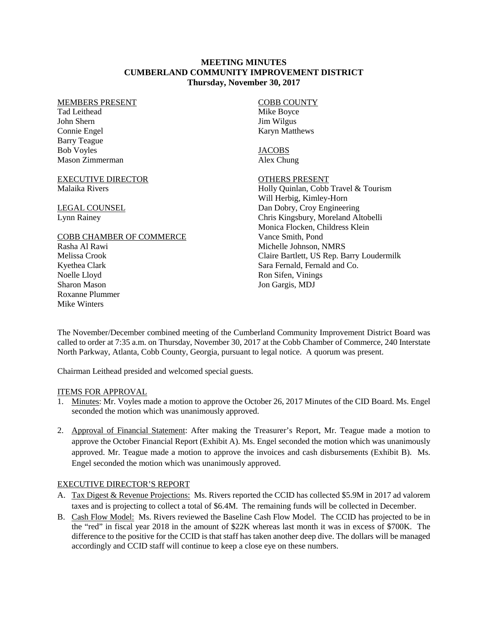### **MEETING MINUTES CUMBERLAND COMMUNITY IMPROVEMENT DISTRICT Thursday, November 30, 2017**

#### MEMBERS PRESENT

Tad Leithead John Shern Connie Engel Barry Teague Bob Voyles Mason Zimmerman

EXECUTIVE DIRECTOR Malaika Rivers

LEGAL COUNSEL Lynn Rainey

### COBB CHAMBER OF COMMERCE

Rasha Al Rawi Melissa Crook Kyethea Clark Noelle Lloyd Sharon Mason Roxanne Plummer Mike Winters

COBB COUNTY Mike Boyce Jim Wilgus Karyn Matthews

JACOBS Alex Chung

### OTHERS PRESENT

Holly Quinlan, Cobb Travel & Tourism Will Herbig, Kimley-Horn Dan Dobry, Croy Engineering Chris Kingsbury, Moreland Altobelli Monica Flocken, Childress Klein Vance Smith, Pond Michelle Johnson, NMRS Claire Bartlett, US Rep. Barry Loudermilk Sara Fernald, Fernald and Co. Ron Sifen, Vinings Jon Gargis, MDJ

The November/December combined meeting of the Cumberland Community Improvement District Board was called to order at 7:35 a.m. on Thursday, November 30, 2017 at the Cobb Chamber of Commerce, 240 Interstate North Parkway, Atlanta, Cobb County, Georgia, pursuant to legal notice. A quorum was present.

Chairman Leithead presided and welcomed special guests.

### ITEMS FOR APPROVAL

- 1. Minutes: Mr. Voyles made a motion to approve the October 26, 2017 Minutes of the CID Board. Ms. Engel seconded the motion which was unanimously approved.
- 2. Approval of Financial Statement: After making the Treasurer's Report, Mr. Teague made a motion to approve the October Financial Report (Exhibit A). Ms. Engel seconded the motion which was unanimously approved. Mr. Teague made a motion to approve the invoices and cash disbursements (Exhibit B). Ms. Engel seconded the motion which was unanimously approved.

## EXECUTIVE DIRECTOR'S REPORT

- A. Tax Digest & Revenue Projections: Ms. Rivers reported the CCID has collected \$5.9M in 2017 ad valorem taxes and is projecting to collect a total of \$6.4M. The remaining funds will be collected in December.
- B. Cash Flow Model: Ms. Rivers reviewed the Baseline Cash Flow Model. The CCID has projected to be in the "red" in fiscal year 2018 in the amount of \$22K whereas last month it was in excess of \$700K. The difference to the positive for the CCID is that staff has taken another deep dive. The dollars will be managed accordingly and CCID staff will continue to keep a close eye on these numbers.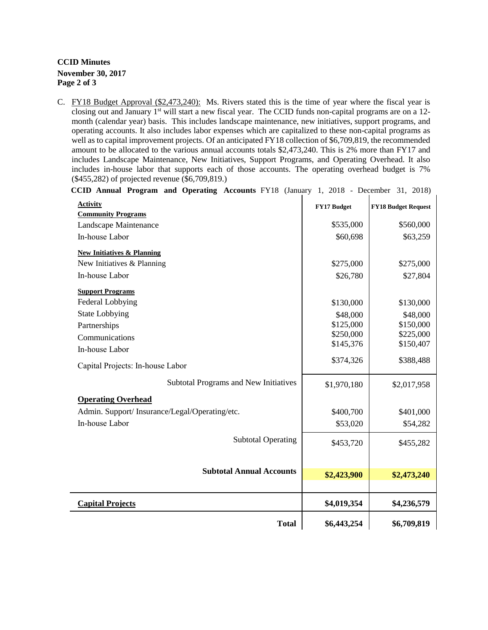## **CCID Minutes November 30, 2017 Page 2 of 3**

C. FY18 Budget Approval (\$2,473,240): Ms. Rivers stated this is the time of year where the fiscal year is closing out and January 1<sup>st</sup> will start a new fiscal year. The CCID funds non-capital programs are on a 12month (calendar year) basis. This includes landscape maintenance, new initiatives, support programs, and operating accounts. It also includes labor expenses which are capitalized to these non-capital programs as well as to capital improvement projects. Of an anticipated FY18 collection of \$6,709,819, the recommended amount to be allocated to the various annual accounts totals \$2,473,240. This is 2% more than FY17 and includes Landscape Maintenance, New Initiatives, Support Programs, and Operating Overhead. It also includes in-house labor that supports each of those accounts. The operating overhead budget is 7% (\$455,282) of projected revenue (\$6,709,819.)

| CCID Annual Program and Operating Accounts FY18 (January 1, 2018 - December 31, 2018) |  |  |  |  |  |  |
|---------------------------------------------------------------------------------------|--|--|--|--|--|--|
|---------------------------------------------------------------------------------------|--|--|--|--|--|--|

| <b>Activity</b>                                                     | FY17 Budget | <b>FY18 Budget Request</b> |
|---------------------------------------------------------------------|-------------|----------------------------|
| <b>Community Programs</b><br>Landscape Maintenance                  | \$535,000   | \$560,000                  |
| In-house Labor                                                      | \$60,698    | \$63,259                   |
|                                                                     |             |                            |
| <b>New Initiatives &amp; Planning</b><br>New Initiatives & Planning | \$275,000   | \$275,000                  |
| In-house Labor                                                      | \$26,780    | \$27,804                   |
|                                                                     |             |                            |
| <b>Support Programs</b>                                             |             |                            |
| Federal Lobbying                                                    | \$130,000   | \$130,000                  |
| <b>State Lobbying</b>                                               | \$48,000    | \$48,000                   |
| Partnerships                                                        | \$125,000   | \$150,000                  |
| Communications                                                      | \$250,000   | \$225,000                  |
| In-house Labor                                                      | \$145,376   | \$150,407                  |
| Capital Projects: In-house Labor                                    | \$374,326   | \$388,488                  |
| <b>Subtotal Programs and New Initiatives</b>                        | \$1,970,180 | \$2,017,958                |
| <b>Operating Overhead</b>                                           |             |                            |
| Admin. Support/Insurance/Legal/Operating/etc.                       | \$400,700   | \$401,000                  |
| In-house Labor                                                      | \$53,020    | \$54,282                   |
| <b>Subtotal Operating</b>                                           | \$453,720   | \$455,282                  |
| <b>Subtotal Annual Accounts</b>                                     |             |                            |
|                                                                     | \$2,423,900 | \$2,473,240                |
| <b>Capital Projects</b>                                             | \$4,019,354 | \$4,236,579                |
| <b>Total</b>                                                        | \$6,443,254 | \$6,709,819                |